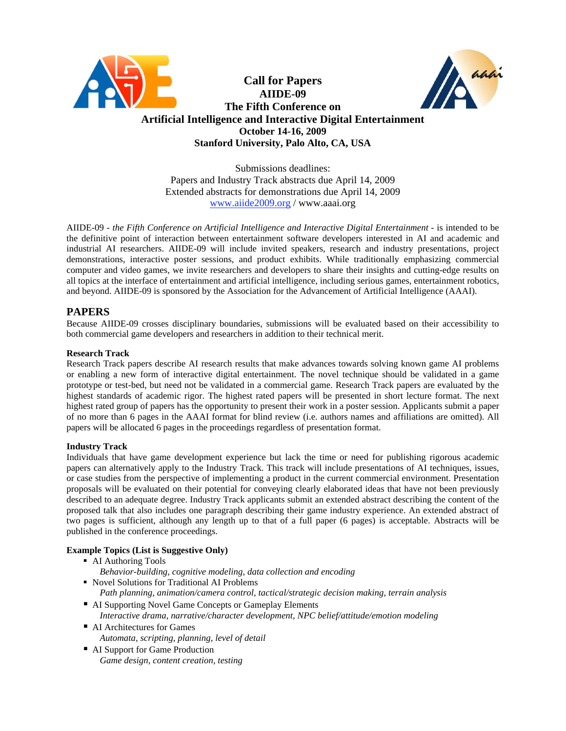

Submissions deadlines: Papers and Industry Track abstracts due April 14, 2009 Extended abstracts for demonstrations due April 14, 2009 www.aiide2009.org / www.aaai.org

AIIDE-09 - *the Fifth Conference on Artificial Intelligence and Interactive Digital Entertainment* - is intended to be the definitive point of interaction between entertainment software developers interested in AI and academic and industrial AI researchers. AIIDE-09 will include invited speakers, research and industry presentations, project demonstrations, interactive poster sessions, and product exhibits. While traditionally emphasizing commercial computer and video games, we invite researchers and developers to share their insights and cutting-edge results on all topics at the interface of entertainment and artificial intelligence, including serious games, entertainment robotics, and beyond. AIIDE-09 is sponsored by the Association for the Advancement of Artificial Intelligence (AAAI).

# **PAPERS**

Because AIIDE-09 crosses disciplinary boundaries, submissions will be evaluated based on their accessibility to both commercial game developers and researchers in addition to their technical merit.

#### **Research Track**

Research Track papers describe AI research results that make advances towards solving known game AI problems or enabling a new form of interactive digital entertainment. The novel technique should be validated in a game prototype or test-bed, but need not be validated in a commercial game. Research Track papers are evaluated by the highest standards of academic rigor. The highest rated papers will be presented in short lecture format. The next highest rated group of papers has the opportunity to present their work in a poster session. Applicants submit a paper of no more than 6 pages in the AAAI format for blind review (i.e. authors names and affiliations are omitted). All papers will be allocated 6 pages in the proceedings regardless of presentation format.

#### **Industry Track**

Individuals that have game development experience but lack the time or need for publishing rigorous academic papers can alternatively apply to the Industry Track. This track will include presentations of AI techniques, issues, or case studies from the perspective of implementing a product in the current commercial environment. Presentation proposals will be evaluated on their potential for conveying clearly elaborated ideas that have not been previously described to an adequate degree. Industry Track applicants submit an extended abstract describing the content of the proposed talk that also includes one paragraph describing their game industry experience. An extended abstract of two pages is sufficient, although any length up to that of a full paper (6 pages) is acceptable. Abstracts will be published in the conference proceedings.

## **Example Topics (List is Suggestive Only)**

- AI Authoring Tools *Behavior-building, cognitive modeling, data collection and encoding* ■ Novel Solutions for Traditional AI Problems
	- *Path planning, animation/camera control, tactical/strategic decision making, terrain analysis*
- AI Supporting Novel Game Concepts or Gameplay Elements *Interactive drama, narrative/character development, NPC belief/attitude/emotion modeling*
- AI Architectures for Games *Automata, scripting, planning, level of detail*
- AI Support for Game Production *Game design, content creation, testing*